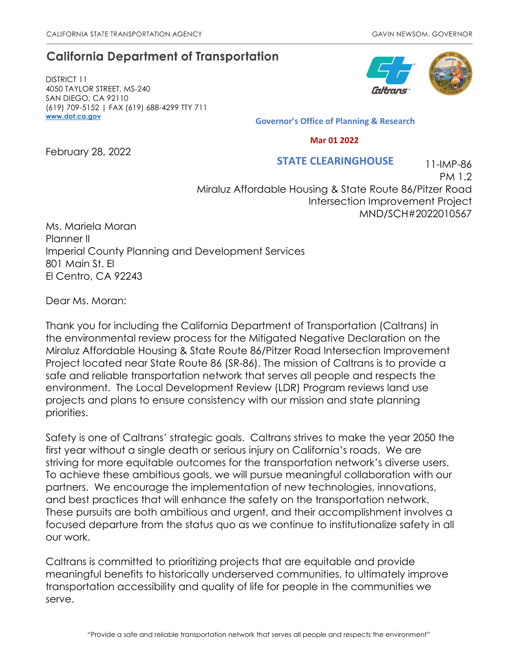### **California Department of Transportation**

DISTRICT 11 4050 TAYLOR STREET, MS-240 SAN DIEGO, CA 92110 (619) 709-5152 | FAX (619) 688-4299 TTY 711 **[www.dot.ca.gov](http://www.dot.ca.gov/)**



**Governor's Office of Planning & Research**

 **Mar 01 2022**

February 28, 2022

#### 11-IMP-86  **STATE CLEARINGHOUSE**

PM 1.2 Miraluz Affordable Housing & State Route 86/Pitzer Road Intersection Improvement Project MND/SCH#2022010567

Ms. Mariela Moran Planner II Imperial County Planning and Development Services 801 Main St. El El Centro, CA 92243

Dear Ms. Moran:

Thank you for including the California Department of Transportation (Caltrans) in the environmental review process for the Mitigated Negative Declaration on the Miraluz Affordable Housing & State Route 86/Pitzer Road Intersection Improvement Project located near State Route 86 (SR-86). The mission of Caltrans is to provide a safe and reliable transportation network that serves all people and respects the environment. The Local Development Review (LDR) Program reviews land use projects and plans to ensure consistency with our mission and state planning priorities.

Safety is one of Caltrans' strategic goals. Caltrans strives to make the year 2050 the first year without a single death or serious injury on California's roads. We are striving for more equitable outcomes for the transportation network's diverse users. To achieve these ambitious goals, we will pursue meaningful collaboration with our partners. We encourage the implementation of new technologies, innovations, and best practices that will enhance the safety on the transportation network. These pursuits are both ambitious and urgent, and their accomplishment involves a focused departure from the status quo as we continue to institutionalize safety in all our work.

Caltrans is committed to prioritizing projects that are equitable and provide meaningful benefits to historically underserved communities, to ultimately improve transportation accessibility and quality of life for people in the communities we serve.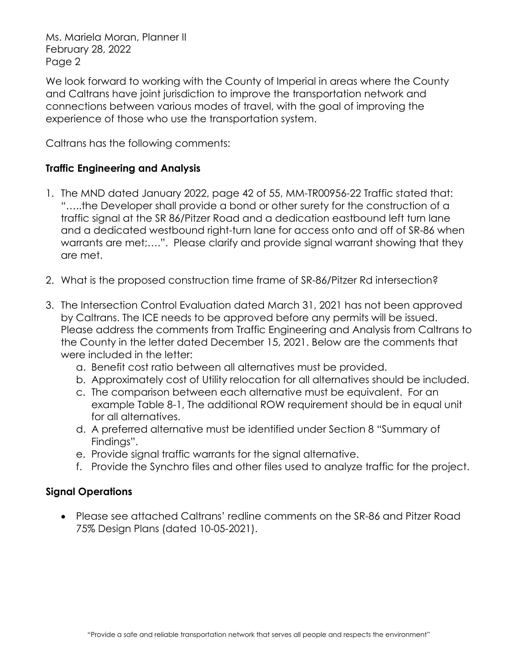We look forward to working with the County of Imperial in areas where the County and Caltrans have joint jurisdiction to improve the transportation network and connections between various modes of travel, with the goal of improving the experience of those who use the transportation system.

Caltrans has the following comments:

#### **Traffic Engineering and Analysis**

- 1. The MND dated January 2022, page 42 of 55, MM-TR00956-22 Traffic stated that: "…..the Developer shall provide a bond or other surety for the construction of a traffic signal at the SR 86/Pitzer Road and a dedication eastbound left turn lane and a dedicated westbound right-turn lane for access onto and off of SR-86 when warrants are met;….". Please clarify and provide signal warrant showing that they are met.
- 2. What is the proposed construction time frame of SR-86/Pitzer Rd intersection?
- 3. The Intersection Control Evaluation dated March 31, 2021 has not been approved by Caltrans. The ICE needs to be approved before any permits will be issued. Please address the comments from Traffic Engineering and Analysis from Caltrans to the County in the letter dated December 15, 2021. Below are the comments that were included in the letter:
	- a. Benefit cost ratio between all alternatives must be provided.
	- b. Approximately cost of Utility relocation for all alternatives should be included.
	- c. The comparison between each alternative must be equivalent. For an example Table 8-1, The additional ROW requirement should be in equal unit for all alternatives.
	- d. A preferred alternative must be identified under Section 8 "Summary of Findings".
	- e. Provide signal traffic warrants for the signal alternative.
	- f. Provide the Synchro files and other files used to analyze traffic for the project.

#### **Signal Operations**

• Please see attached Caltrans' redline comments on the SR-86 and Pitzer Road 75% Design Plans (dated 10-05-2021).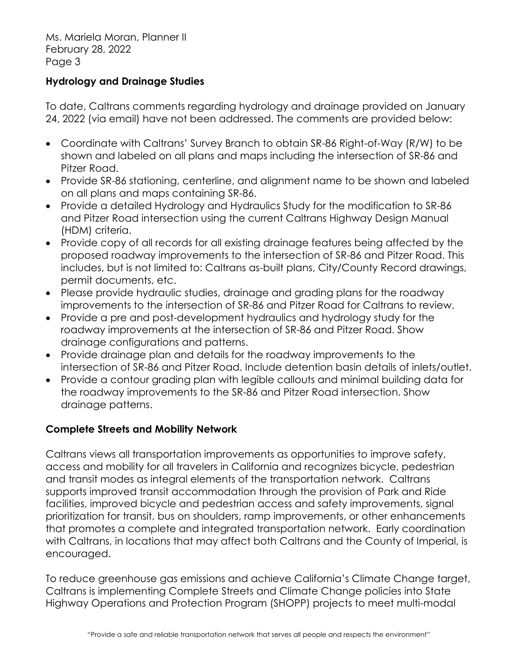#### **Hydrology and Drainage Studies**

To date, Caltrans comments regarding hydrology and drainage provided on January 24, 2022 (via email) have not been addressed. The comments are provided below:

- Coordinate with Caltrans' Survey Branch to obtain SR-86 Right-of-Way (R/W) to be shown and labeled on all plans and maps including the intersection of SR-86 and Pitzer Road.
- Provide SR-86 stationing, centerline, and alignment name to be shown and labeled on all plans and maps containing SR-86.
- Provide a detailed Hydrology and Hydraulics Study for the modification to SR-86 and Pitzer Road intersection using the current Caltrans Highway Design Manual (HDM) criteria.
- Provide copy of all records for all existing drainage features being affected by the proposed roadway improvements to the intersection of SR-86 and Pitzer Road. This includes, but is not limited to: Caltrans as-built plans, City/County Record drawings, permit documents, etc.
- Please provide hydraulic studies, drainage and grading plans for the roadway improvements to the intersection of SR-86 and Pitzer Road for Caltrans to review.
- Provide a pre and post-development hydraulics and hydrology study for the roadway improvements at the intersection of SR-86 and Pitzer Road. Show drainage configurations and patterns.
- Provide drainage plan and details for the roadway improvements to the intersection of SR-86 and Pitzer Road. Include detention basin details of inlets/outlet.
- Provide a contour grading plan with legible callouts and minimal building data for the roadway improvements to the SR-86 and Pitzer Road intersection. Show drainage patterns.

### **Complete Streets and Mobility Network**

Caltrans views all transportation improvements as opportunities to improve safety, access and mobility for all travelers in California and recognizes bicycle, pedestrian and transit modes as integral elements of the transportation network. Caltrans supports improved transit accommodation through the provision of Park and Ride facilities, improved bicycle and pedestrian access and safety improvements, signal prioritization for transit, bus on shoulders, ramp improvements, or other enhancements that promotes a complete and integrated transportation network. Early coordination with Caltrans, in locations that may affect both Caltrans and the County of Imperial, is encouraged.

To reduce greenhouse gas emissions and achieve California's Climate Change target, Caltrans is implementing Complete Streets and Climate Change policies into State Highway Operations and Protection Program (SHOPP) projects to meet multi-modal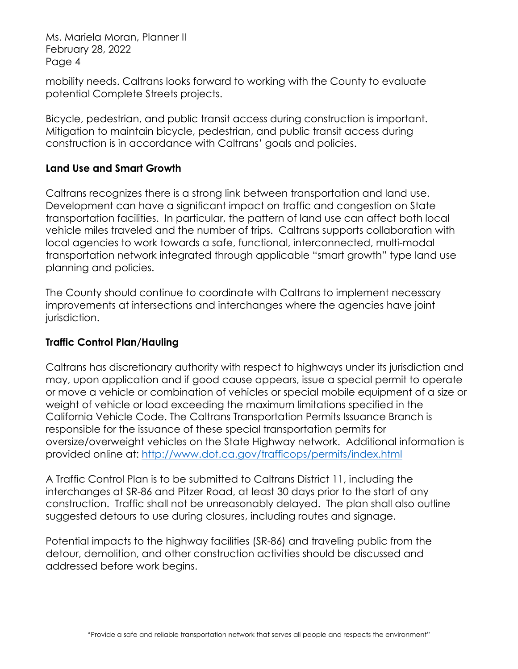mobility needs. Caltrans looks forward to working with the County to evaluate potential Complete Streets projects.

Bicycle, pedestrian, and public transit access during construction is important. Mitigation to maintain bicycle, pedestrian, and public transit access during construction is in accordance with Caltrans' goals and policies.

#### **Land Use and Smart Growth**

Caltrans recognizes there is a strong link between transportation and land use. Development can have a significant impact on traffic and congestion on State transportation facilities. In particular, the pattern of land use can affect both local vehicle miles traveled and the number of trips. Caltrans supports collaboration with local agencies to work towards a safe, functional, interconnected, multi-modal transportation network integrated through applicable "smart growth" type land use planning and policies.

The County should continue to coordinate with Caltrans to implement necessary improvements at intersections and interchanges where the agencies have joint jurisdiction.

### **Traffic Control Plan/Hauling**

Caltrans has discretionary authority with respect to highways under its jurisdiction and may, upon application and if good cause appears, issue a special permit to operate or move a vehicle or combination of vehicles or special mobile equipment of a size or weight of vehicle or load exceeding the maximum limitations specified in the California Vehicle Code. The Caltrans Transportation Permits Issuance Branch is responsible for the issuance of these special transportation permits for oversize/overweight vehicles on the State Highway network. Additional information is provided online at:<http://www.dot.ca.gov/trafficops/permits/index.html>

A Traffic Control Plan is to be submitted to Caltrans District 11, including the interchanges at SR-86 and Pitzer Road, at least 30 days prior to the start of any construction. Traffic shall not be unreasonably delayed. The plan shall also outline suggested detours to use during closures, including routes and signage.

Potential impacts to the highway facilities (SR-86) and traveling public from the detour, demolition, and other construction activities should be discussed and addressed before work begins.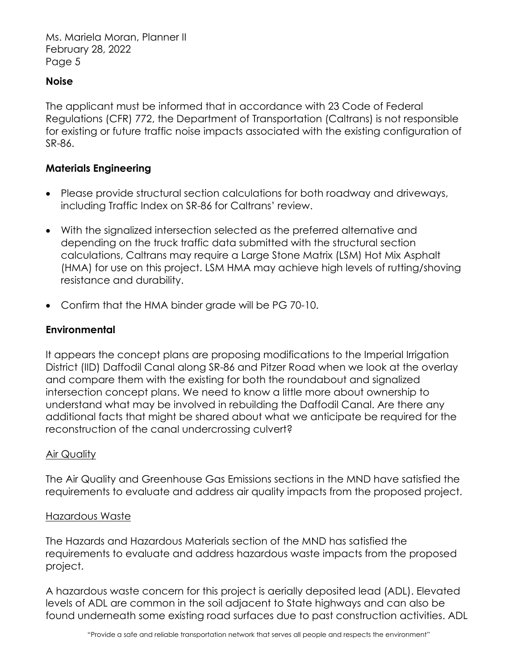#### **Noise**

The applicant must be informed that in accordance with 23 Code of Federal Regulations (CFR) 772, the Department of Transportation (Caltrans) is not responsible for existing or future traffic noise impacts associated with the existing configuration of SR-86.

#### **Materials Engineering**

- Please provide structural section calculations for both roadway and driveways, including Traffic Index on SR-86 for Caltrans' review.
- With the signalized intersection selected as the preferred alternative and depending on the truck traffic data submitted with the structural section calculations, Caltrans may require a Large Stone Matrix (LSM) Hot Mix Asphalt (HMA) for use on this project. LSM HMA may achieve high levels of rutting/shoving resistance and durability.
- Confirm that the HMA binder grade will be PG 70-10.

#### **Environmental**

It appears the concept plans are proposing modifications to the Imperial Irrigation District (IID) Daffodil Canal along SR-86 and Pitzer Road when we look at the overlay and compare them with the existing for both the roundabout and signalized intersection concept plans. We need to know a little more about ownership to understand what may be involved in rebuilding the Daffodil Canal. Are there any additional facts that might be shared about what we anticipate be required for the reconstruction of the canal undercrossing culvert?

#### Air Quality

The Air Quality and Greenhouse Gas Emissions sections in the MND have satisfied the requirements to evaluate and address air quality impacts from the proposed project.

#### Hazardous Waste

The Hazards and Hazardous Materials section of the MND has satisfied the requirements to evaluate and address hazardous waste impacts from the proposed project.

A hazardous waste concern for this project is aerially deposited lead (ADL). Elevated levels of ADL are common in the soil adjacent to State highways and can also be found underneath some existing road surfaces due to past construction activities. ADL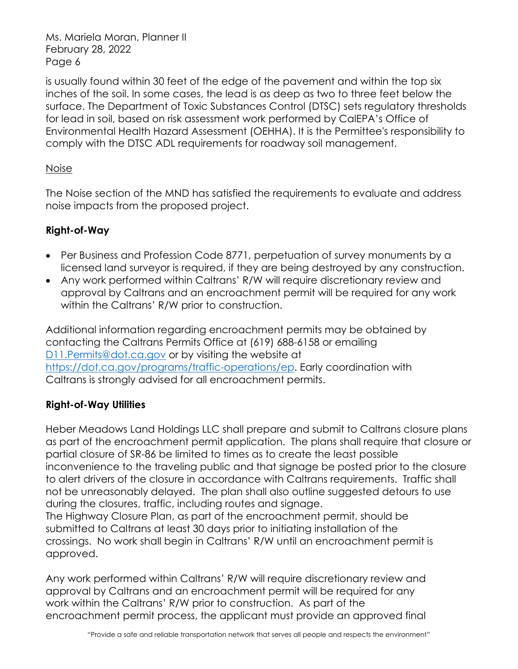is usually found within 30 feet of the edge of the pavement and within the top six inches of the soil. In some cases, the lead is as deep as two to three feet below the surface. The Department of Toxic Substances Control (DTSC) sets regulatory thresholds for lead in soil, based on risk assessment work performed by CalEPA's Office of Environmental Health Hazard Assessment (OEHHA). It is the Permittee's responsibility to comply with the DTSC ADL requirements for roadway soil management.

#### Noise

The Noise section of the MND has satisfied the requirements to evaluate and address noise impacts from the proposed project.

### **Right-of-Way**

- Per Business and Profession Code 8771, perpetuation of survey monuments by a licensed land surveyor is required, if they are being destroyed by any construction.
- Any work performed within Caltrans' R/W will require discretionary review and approval by Caltrans and an encroachment permit will be required for any work within the Caltrans' R/W prior to construction.

Additional information regarding encroachment permits may be obtained by contacting the Caltrans Permits Office at (619) 688-6158 or emailing [D11.Permits@dot.ca.gov](mailto:D11.Permits@dot.ca.gov) or by visiting the website at [https://dot.ca.gov/programs/traffic-operations/ep.](https://dot.ca.gov/programs/traffic-operations/ep) Early coordination with Caltrans is strongly advised for all encroachment permits.

#### **Right-of-Way Utilities**

approved.

Heber Meadows Land Holdings LLC shall prepare and submit to Caltrans closure plans as part of the encroachment permit application. The plans shall require that closure or partial closure of SR-86 be limited to times as to create the least possible inconvenience to the traveling public and that signage be posted prior to the closure to alert drivers of the closure in accordance with Caltrans requirements. Traffic shall not be unreasonably delayed. The plan shall also outline suggested detours to use during the closures, traffic, including routes and signage. The Highway Closure Plan, as part of the encroachment permit, should be submitted to Caltrans at least 30 days prior to initiating installation of the crossings. No work shall begin in Caltrans' R/W until an encroachment permit is

Any work performed within Caltrans' R/W will require discretionary review and approval by Caltrans and an encroachment permit will be required for any work within the Caltrans' R/W prior to construction. As part of the encroachment permit process, the applicant must provide an approved final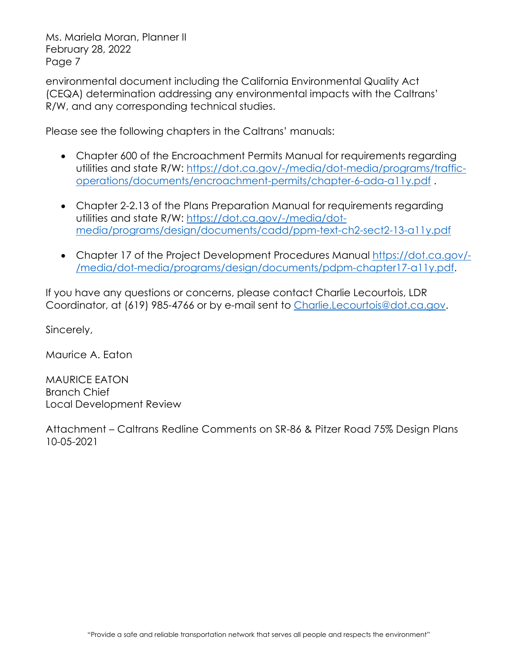environmental document including the California Environmental Quality Act (CEQA) determination addressing any environmental impacts with the Caltrans' R/W, and any corresponding technical studies.

Please see the following chapters in the Caltrans' manuals:

- Chapter 600 of the Encroachment Permits Manual for requirements regarding utilities and state R/W: [https://dot.ca.gov/-/media/dot-media/programs/traffic](https://dot.ca.gov/-/media/dot-media/programs/traffic-operations/documents/encroachment-permits/chapter-6-ada-a11y.pdf)[operations/documents/encroachment-permits/chapter-6-ada-a11y.pdf](https://dot.ca.gov/-/media/dot-media/programs/traffic-operations/documents/encroachment-permits/chapter-6-ada-a11y.pdf) .
- Chapter 2-2.13 of the Plans Preparation Manual for requirements regarding utilities and state R/W: [https://dot.ca.gov/-/media/dot](https://dot.ca.gov/-/media/dot-media/programs/design/documents/cadd/ppm-text-ch2-sect2-13-a11y.pdf)[media/programs/design/documents/cadd/ppm-text-ch2-sect2-13-a11y.pdf](https://dot.ca.gov/-/media/dot-media/programs/design/documents/cadd/ppm-text-ch2-sect2-13-a11y.pdf)
- Chapter 17 of the Project Development Procedures Manual [https://dot.ca.gov/-](https://dot.ca.gov/-/media/dot-media/programs/design/documents/pdpm-chapter17-a11y.pdf) [/media/dot-media/programs/design/documents/pdpm-chapter17-a11y.pdf.](https://dot.ca.gov/-/media/dot-media/programs/design/documents/pdpm-chapter17-a11y.pdf)

If you have any questions or concerns, please contact Charlie Lecourtois, LDR Coordinator, at (619) 985-4766 or by e-mail sent to [Charlie.Lecourtois@dot.ca.gov.](mailto:Charlie.Lecourtois@dot.ca.gov)

Sincerely,

Maurice A. Eaton

MAURICE EATON Branch Chief Local Development Review

Attachment – Caltrans Redline Comments on SR-86 & Pitzer Road 75% Design Plans 10-05-2021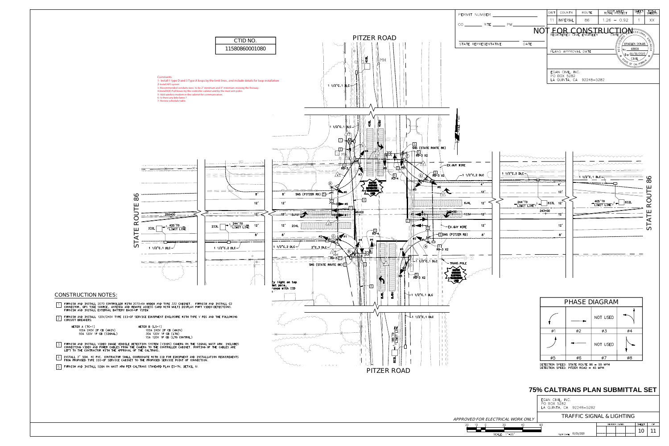|                                 | EGAN CIVIL, INC.<br>PO BOX 5282<br>LA QUINTA, CA 92248—5282 |                                             |  |  |  |  |  |  |  |  |
|---------------------------------|-------------------------------------------------------------|---------------------------------------------|--|--|--|--|--|--|--|--|
| IUXÒÖÁQUÜÁÒŠÒÔVÜQÔŒŠÁY UÜSÁJÞŠŸ |                                                             | VÜŒXXÔÁÙ@ŎÞŒŠÁBÁŠ@ŎPVŒ                      |  |  |  |  |  |  |  |  |
| 20<br>-20<br>40<br>10           | 60                                                          | OF<br><b>SHEET</b><br><b>REVISION DATES</b> |  |  |  |  |  |  |  |  |
| SCALE: 1"=20'                   | PLOT DATE: 10/05/2021                                       | F€                                          |  |  |  |  |  |  |  |  |

FURNISH AND INSTALL 120V/240V TYPE III-CF SERVICE EQUIPMENT ENCLOSURE WITH TYPE V PEC AND THE FOLLOWING  $\equiv$  CIRCUIT BREAKERS:

METER A (TC-1) METER B (LS-1) 100A 240V 2P CB (MAIN) 100A 240V 2P CB (MAIN) 50A 120V 1P CB (SIGNAL) 30A 120V 1P CB (LTG) FURNISH AND INSTALL VIDEO IMAGE VEHICLE DETECTION SYSTEM (VIVDS) CAMERA ON THE SIGNAL MAST ARM. INCLUDES  $\tilde{\to}$  connecting video and power cables from the camera to the controller cabinet. Routing of the cables are LEFT TO THE CONTRACTOR WITH THE APPROVAL OF THE CALTRANS. INSTALL 3" SCH. 40 PVC. CONTRACTOR SHALL COORDINATE WITH IID FOR EQUIPMENT AND INSTALLATION REQUIREMENTS FROM PROPOSED TYPE III-CF SERVICE CABINET TO THE PROPOSED SERVICE POINT OF CONNECTION. <sup>4</sup>





## ÔUÞÙVÜWÔVQUÞÁÞUVÒÙK

FURNISH AND INSTALL 2070 CONTROLLER WITH 2070-6A MODEM AND TYPE 332 CABINET. FURNISH AND INSTALL C2 CONNECTOR, GPS TIME SOURCE, ANTENNA AND REMOTE ACCESS CARD WITH MULTI DISPLAY PORT VIDEO DETECTIONS. FURNISH AND INSTALL EXTERNAL BATTERY BACK-UP YSTEM. <sup>1</sup>

FURNISH AND INSTALL SIGN ON MAST ARM PER CALTRANS STANDARD PLAN ES-7N, DETAIL U. <sup>5</sup>

| PERMIT NUMBER                | <b>DIST</b> | COUNTY              | ROUTE                             | TOTAL PROJECT |                                        | SHEET<br>No.                 | <b>SHEETS</b>      |
|------------------------------|-------------|---------------------|-----------------------------------|---------------|----------------------------------------|------------------------------|--------------------|
|                              | 11          | IMPERIAL            | 86                                | $1.26 - 0.92$ |                                        | $\left  \right $             | XX                 |
|                              |             |                     | <b>DUVAUUAOUDUVÜMÔVOIDESSIONA</b> |               |                                        |                              |                    |
|                              |             |                     |                                   |               | ISTERIO                                |                              |                    |
| DATE<br>STATE REPRESENTATIVE |             |                     |                                   |               | C                                      | BRADLEY DONAIS               | <b>ANDIZITIE</b>   |
|                              |             | PLANS APPROVAL DATE |                                   |               | No. 68828<br>$\sqcup$<br>$\alpha$<br>☆ | Exp.09/30/2023               | .<br>ਨ<br><i>শ</i> |
|                              |             |                     |                                   |               |                                        | CIVIL<br>STATE OF CALIFORNIA |                    |
|                              |             | EGAN CIVIL, INC.    |                                   |               |                                        |                              |                    |
|                              |             | PO BOX 5282         | LA QUINTA, CA 92248-5282          |               |                                        |                              |                    |
|                              |             |                     |                                   |               |                                        |                              |                    |
|                              |             |                     |                                   |               |                                        |                              |                    |
|                              |             |                     |                                   |               |                                        |                              |                    |
|                              |             |                     |                                   |               |                                        |                              |                    |
| $\pm$ : $1"=20'$             |             |                     |                                   |               |                                        |                              |                    |
|                              |             |                     |                                   |               |                                        |                              |                    |
|                              |             |                     |                                   |               |                                        |                              |                    |
|                              |             |                     |                                   |               |                                        |                              |                    |
|                              |             |                     |                                   |               |                                        |                              |                    |
| munumment promonument        |             |                     |                                   |               |                                        |                              |                    |

# **75% CALTRANS PLAN SUBMITTAL SET**